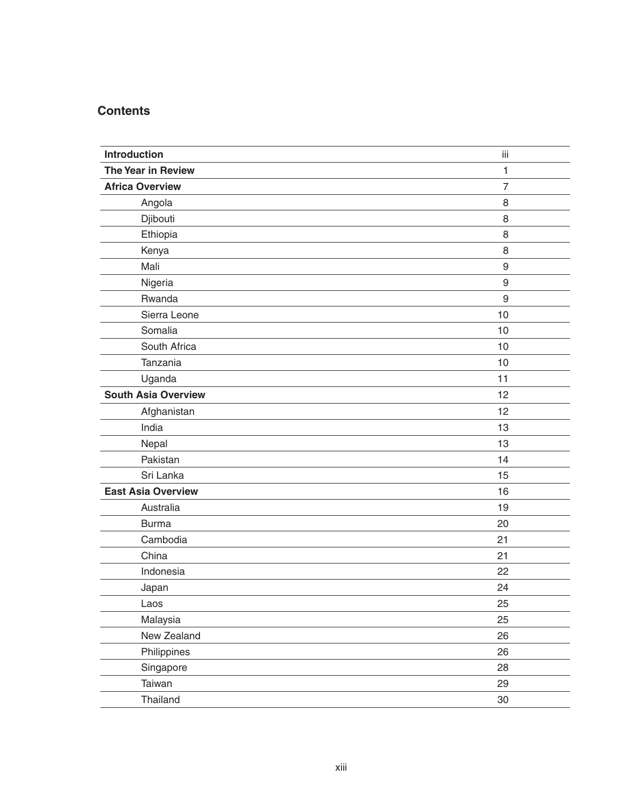## **Contents**

| Introduction               | iii              |
|----------------------------|------------------|
| The Year in Review         | 1                |
| <b>Africa Overview</b>     | $\overline{7}$   |
| Angola                     | 8                |
| Djibouti                   | 8                |
| Ethiopia                   | 8                |
| Kenya                      | 8                |
| Mali                       | $\boldsymbol{9}$ |
| Nigeria                    | $\boldsymbol{9}$ |
| Rwanda                     | 9                |
| Sierra Leone               | 10               |
| Somalia                    | 10               |
| South Africa               | 10               |
| Tanzania                   | 10               |
| Uganda                     | 11               |
| <b>South Asia Overview</b> | 12               |
| Afghanistan                | 12               |
| India                      | 13               |
| Nepal                      | 13               |
| Pakistan                   | 14               |
| Sri Lanka                  | 15               |
| <b>East Asia Overview</b>  | 16               |
| Australia                  | 19               |
| <b>Burma</b>               | 20               |
| Cambodia                   | 21               |
| China                      | 21               |
| Indonesia                  | 22               |
| Japan                      | 24               |
| Laos                       | 25               |
| Malaysia                   | 25               |
| New Zealand                | 26               |
| Philippines                | 26               |
| Singapore                  | 28               |
| Taiwan                     | 29               |
| Thailand                   | 30               |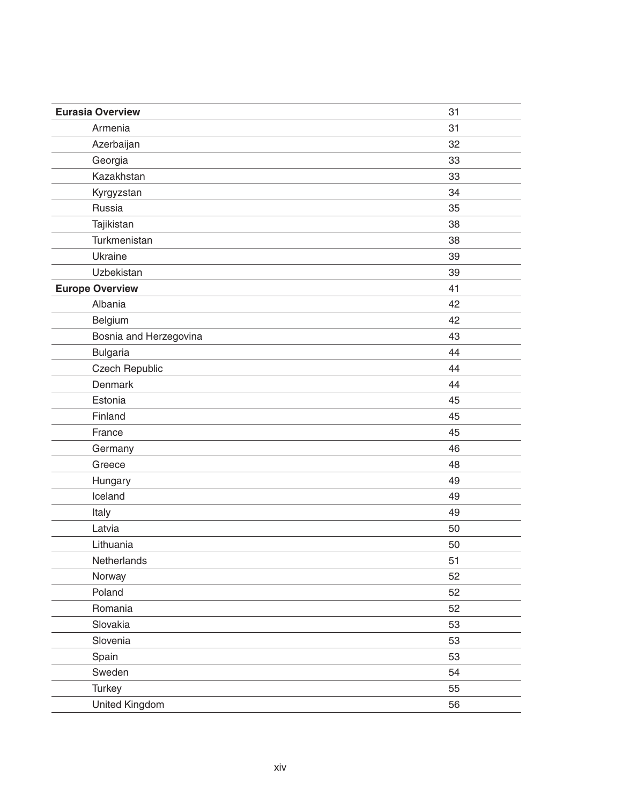| <b>Eurasia Overview</b> | 31 |
|-------------------------|----|
| Armenia                 | 31 |
| Azerbaijan              | 32 |
| Georgia                 | 33 |
| Kazakhstan              | 33 |
| Kyrgyzstan              | 34 |
| Russia                  | 35 |
| Tajikistan              | 38 |
| Turkmenistan            | 38 |
| Ukraine                 | 39 |
| Uzbekistan              | 39 |
| <b>Europe Overview</b>  | 41 |
| Albania                 | 42 |
| Belgium                 | 42 |
| Bosnia and Herzegovina  | 43 |
| <b>Bulgaria</b>         | 44 |
| Czech Republic          | 44 |
| Denmark                 | 44 |
| Estonia                 | 45 |
| Finland                 | 45 |
| France                  | 45 |
| Germany                 | 46 |
| Greece                  | 48 |
| Hungary                 | 49 |
| Iceland                 | 49 |
| Italy                   | 49 |
| Latvia                  | 50 |
| Lithuania               | 50 |
| Netherlands             | 51 |
| Norway                  | 52 |
| Poland                  | 52 |
| Romania                 | 52 |
| Slovakia                | 53 |
| Slovenia                | 53 |
| Spain                   | 53 |
| Sweden                  | 54 |
| Turkey                  | 55 |
| United Kingdom          | 56 |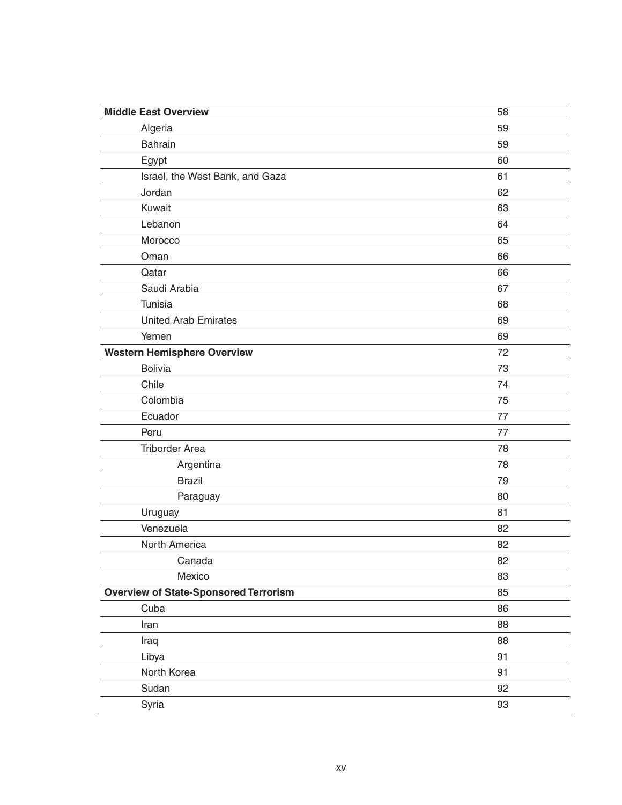| <b>Middle East Overview</b>                  | 58 |
|----------------------------------------------|----|
| Algeria                                      | 59 |
| Bahrain                                      | 59 |
| Egypt                                        | 60 |
| Israel, the West Bank, and Gaza              | 61 |
| Jordan                                       | 62 |
| Kuwait                                       | 63 |
| Lebanon                                      | 64 |
| Morocco                                      | 65 |
| Oman                                         | 66 |
| Qatar                                        | 66 |
| Saudi Arabia                                 | 67 |
| Tunisia                                      | 68 |
| <b>United Arab Emirates</b>                  | 69 |
| Yemen                                        | 69 |
| <b>Western Hemisphere Overview</b>           | 72 |
| <b>Bolivia</b>                               | 73 |
| Chile                                        | 74 |
| Colombia                                     | 75 |
| Ecuador                                      | 77 |
| Peru                                         | 77 |
| <b>Triborder Area</b>                        | 78 |
| Argentina                                    | 78 |
| <b>Brazil</b>                                | 79 |
| Paraguay                                     | 80 |
| Uruguay                                      | 81 |
| Venezuela                                    | 82 |
| North America                                | 82 |
| Canada                                       | 82 |
| Mexico                                       | 83 |
| <b>Overview of State-Sponsored Terrorism</b> | 85 |
| Cuba                                         | 86 |
| Iran                                         | 88 |
| Iraq                                         | 88 |
| Libya                                        | 91 |
| North Korea                                  | 91 |
| Sudan                                        | 92 |
| Syria                                        | 93 |